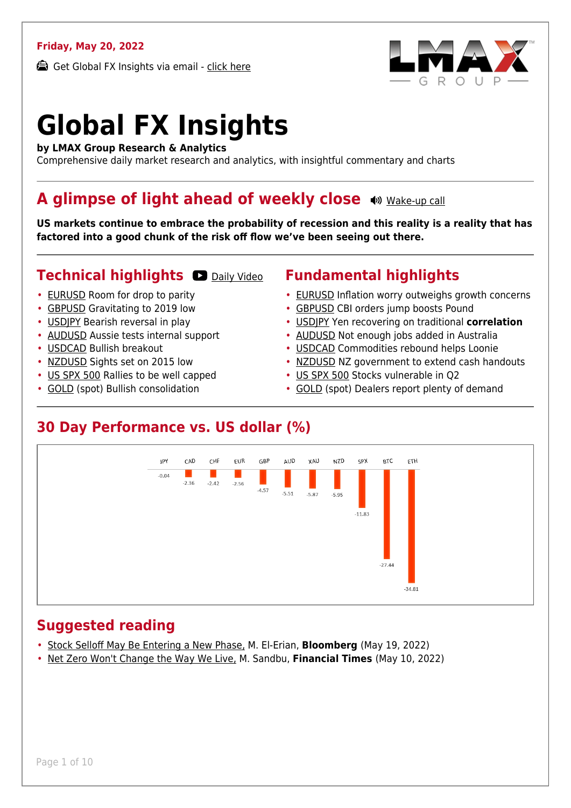### **Friday, May 20, 2022**

Get Global FX Insights via email - [click here](https://www.lmax.com/blog/global-fx-insights/sign-up/?src=gfxipdf)



# **Global FX Insights**

**by LMAX Group Research & Analytics**

Comprehensive daily market research and analytics, with insightful commentary and charts

### **A glimpse of light ahead of weekly close**  $\bullet$  [Wake-up call](https://www.lmax.com/blog/global-fx-insights/2022/05/20/a-glimpse-of-light-ahead-of-weekly-close/?utm_source=GlobalFXInsights-Newsletter&utm_medium=Email&utm_campaign=GlobalFXInsights&audio=play#wakeup-53607)

**US markets continue to embrace the probability of recession and this reality is a reality that has factored into a good chunk of the risk off flow we've been seeing out there.**

### **Technical highlights O [Daily Video](https://www.lmax.com/blog/global-fx-insights/2022/05/20/a-glimpse-of-light-ahead-of-weekly-close/?utm_source=GlobalFXInsights-Newsletter&utm_medium=Email&utm_campaign=GlobalFXInsights&popup=watch#charttalk-53607)**

- [EURUSD](#page-1-0) Room for drop to parity
- [GBPUSD](#page-2-0) Gravitating to 2019 low
- [USDJPY](#page-3-0) Bearish reversal in play
- [AUDUSD](#page-4-0) Aussie tests internal support
- [USDCAD](#page-5-0) Bullish breakout
- [NZDUSD](#page-6-0) Sights set on 2015 low
- [US SPX 500](#page-7-0) Rallies to be well capped
- [GOLD](#page-8-0) (spot) Bullish consolidation

### **Fundamental highlights**

- [EURUSD](#page-1-1) Inflation worry outweighs growth concerns
- [GBPUSD](#page-2-1) CBI orders jump boosts Pound
- [USDJPY](#page-3-1) Yen recovering on traditional **correlation**
- [AUDUSD](#page-4-1) Not enough jobs added in Australia
- [USDCAD](#page-5-1) Commodities rebound helps Loonie
- [NZDUSD](#page-6-1) NZ government to extend cash handouts
- [US SPX 500](#page-7-1) Stocks vulnerable in Q2
- [GOLD](#page-8-1) (spot) Dealers report plenty of demand

### **30 Day Performance vs. US dollar (%)**



### **Suggested reading**

- [Stock Selloff May Be Entering a New Phase,](https://www.lmax.com/blog/global-fx-insights/2022/05/20/a-glimpse-of-light-ahead-of-weekly-close/?read=https://www.bloomberg.com/opinion/articles/2022-05-19/stock-market-selloff-may-be-entering-a-new-phase?srnd=opinion-markets) M. El-Erian, **Bloomberg** (May 19, 2022)
- [Net Zero Won't Change the Way We Live,](https://www.lmax.com/blog/global-fx-insights/2022/05/20/a-glimpse-of-light-ahead-of-weekly-close/?read=https://www.ft.com/video/9fdeafaa-623c-4299-bda9-459f97e1778c?playlist-name=editors-picks&playlist-offset=1) M. Sandbu, **Financial Times** (May 10, 2022)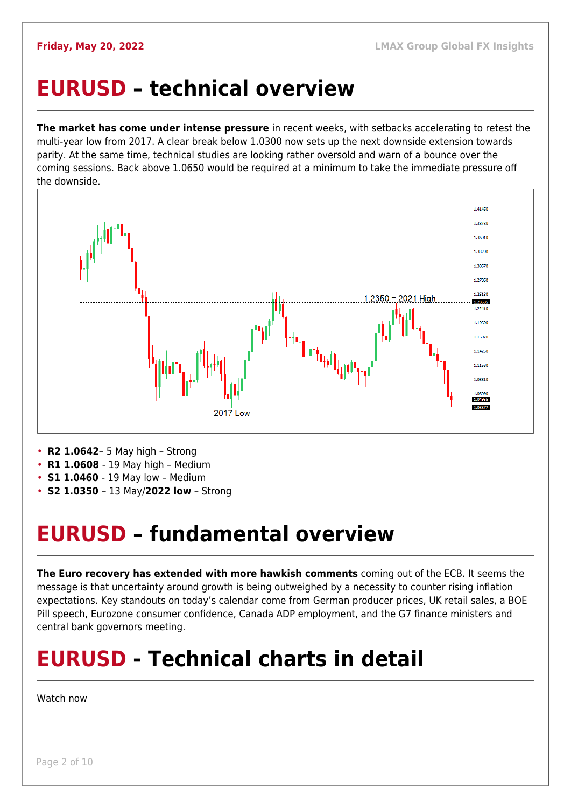## <span id="page-1-0"></span>**EURUSD – technical overview**

**The market has come under intense pressure** in recent weeks, with setbacks accelerating to retest the multi-year low from 2017. A clear break below 1.0300 now sets up the next downside extension towards parity. At the same time, technical studies are looking rather oversold and warn of a bounce over the coming sessions. Back above 1.0650 would be required at a minimum to take the immediate pressure off the downside.



- **R2 1.0642** 5 May high Strong
- **R1 1.0608**  19 May high Medium
- **S1 1.0460**  19 May low Medium
- **S2 1.0350**  13 May/**2022 low** Strong

## <span id="page-1-1"></span>**EURUSD – fundamental overview**

**The Euro recovery has extended with more hawkish comments** coming out of the ECB. It seems the message is that uncertainty around growth is being outweighed by a necessity to counter rising inflation expectations. Key standouts on today's calendar come from German producer prices, UK retail sales, a BOE Pill speech, Eurozone consumer confidence, Canada ADP employment, and the G7 finance ministers and central bank governors meeting.

## **EURUSD - Technical charts in detail**

### [Watch now](https://youtu.be/KIAuQ9hDSNU)

Page 2 of 10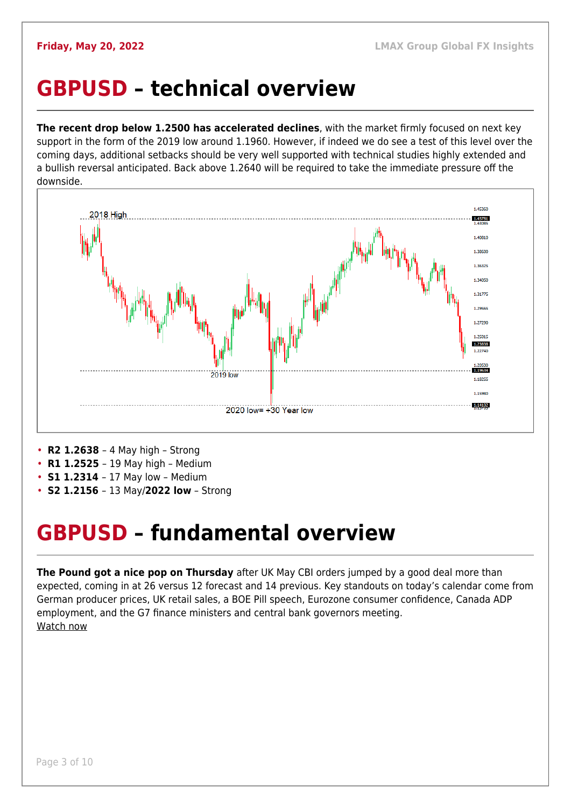### <span id="page-2-0"></span>**GBPUSD – technical overview**

**The recent drop below 1.2500 has accelerated declines**, with the market firmly focused on next key support in the form of the 2019 low around 1.1960. However, if indeed we do see a test of this level over the coming days, additional setbacks should be very well supported with technical studies highly extended and a bullish reversal anticipated. Back above 1.2640 will be required to take the immediate pressure off the downside.



- **R2 1.2638**  4 May high Strong
- **R1 1.2525**  19 May high Medium
- **S1 1.2314**  17 May low Medium
- **S2 1.2156**  13 May/**2022 low** Strong

### <span id="page-2-1"></span>**GBPUSD – fundamental overview**

**The Pound got a nice pop on Thursday** after UK May CBI orders jumped by a good deal more than expected, coming in at 26 versus 12 forecast and 14 previous. Key standouts on today's calendar come from German producer prices, UK retail sales, a BOE Pill speech, Eurozone consumer confidence, Canada ADP employment, and the G7 finance ministers and central bank governors meeting. [Watch now](https://youtu.be/Lpkiv0nd_5E)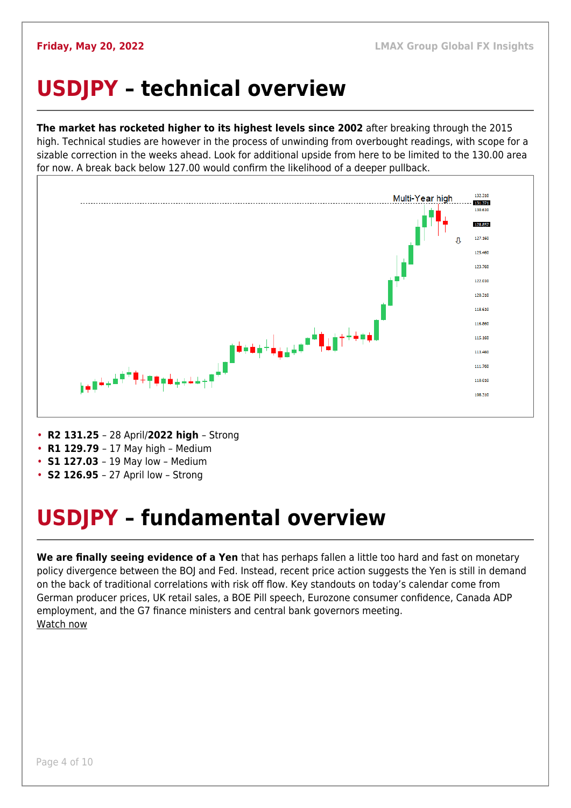## <span id="page-3-0"></span>**USDJPY – technical overview**

**The market has rocketed higher to its highest levels since 2002** after breaking through the 2015 high. Technical studies are however in the process of unwinding from overbought readings, with scope for a sizable correction in the weeks ahead. Look for additional upside from here to be limited to the 130.00 area for now. A break back below 127.00 would confirm the likelihood of a deeper pullback.



- **R2 131.25**  28 April/**2022 high**  Strong
- **R1 129.79**  17 May high Medium
- **S1 127.03**  19 May low Medium
- **S2 126.95**  27 April low Strong

## <span id="page-3-1"></span>**USDJPY – fundamental overview**

**We are finally seeing evidence of a Yen** that has perhaps fallen a little too hard and fast on monetary policy divergence between the BOJ and Fed. Instead, recent price action suggests the Yen is still in demand on the back of traditional correlations with risk off flow. Key standouts on today's calendar come from German producer prices, UK retail sales, a BOE Pill speech, Eurozone consumer confidence, Canada ADP employment, and the G7 finance ministers and central bank governors meeting. [Watch now](https://youtu.be/7RmvBqNOdgc)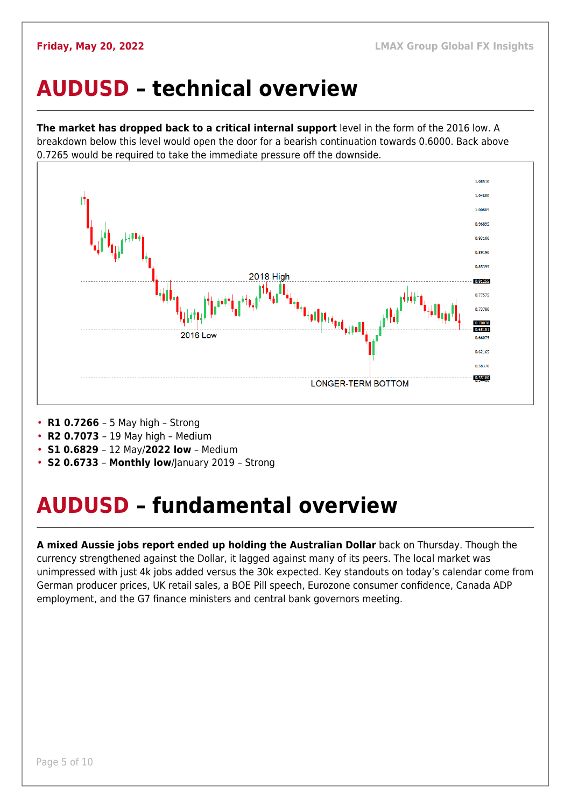### <span id="page-4-0"></span>**AUDUSD – technical overview**

**The market has dropped back to a critical internal support** level in the form of the 2016 low. A breakdown below this level would open the door for a bearish continuation towards 0.6000. Back above 0.7265 would be required to take the immediate pressure off the downside.



- **R1 0.7266**  5 May high Strong
- **R2 0.7073**  19 May high Medium
- **S1 0.6829**  12 May/**2022 low** Medium
- **S2 0.6733 Monthly low**/January 2019 Strong

## <span id="page-4-1"></span>**AUDUSD – fundamental overview**

**A mixed Aussie jobs report ended up holding the Australian Dollar** back on Thursday. Though the currency strengthened against the Dollar, it lagged against many of its peers. The local market was unimpressed with just 4k jobs added versus the 30k expected. Key standouts on today's calendar come from German producer prices, UK retail sales, a BOE Pill speech, Eurozone consumer confidence, Canada ADP employment, and the G7 finance ministers and central bank governors meeting.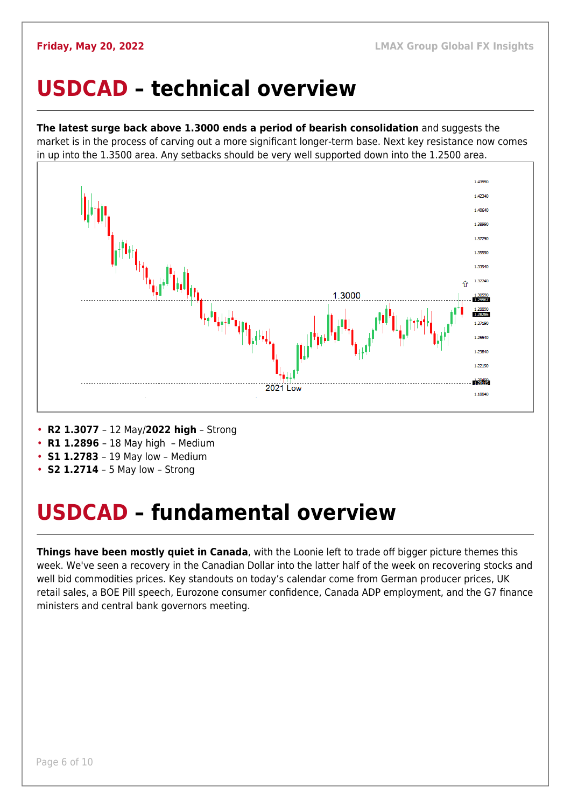### <span id="page-5-0"></span>**USDCAD – technical overview**

**The latest surge back above 1.3000 ends a period of bearish consolidation** and suggests the market is in the process of carving out a more significant longer-term base. Next key resistance now comes in up into the 1.3500 area. Any setbacks should be very well supported down into the 1.2500 area.



- **R2 1.3077**  12 May/**2022 high** Strong
- **R1 1.2896**  18 May high Medium
- **S1 1.2783**  19 May low Medium
- **S2 1.2714** 5 May low Strong

## <span id="page-5-1"></span>**USDCAD – fundamental overview**

**Things have been mostly quiet in Canada**, with the Loonie left to trade off bigger picture themes this week. We've seen a recovery in the Canadian Dollar into the latter half of the week on recovering stocks and well bid commodities prices. Key standouts on today's calendar come from German producer prices, UK retail sales, a BOE Pill speech, Eurozone consumer confidence, Canada ADP employment, and the G7 finance ministers and central bank governors meeting.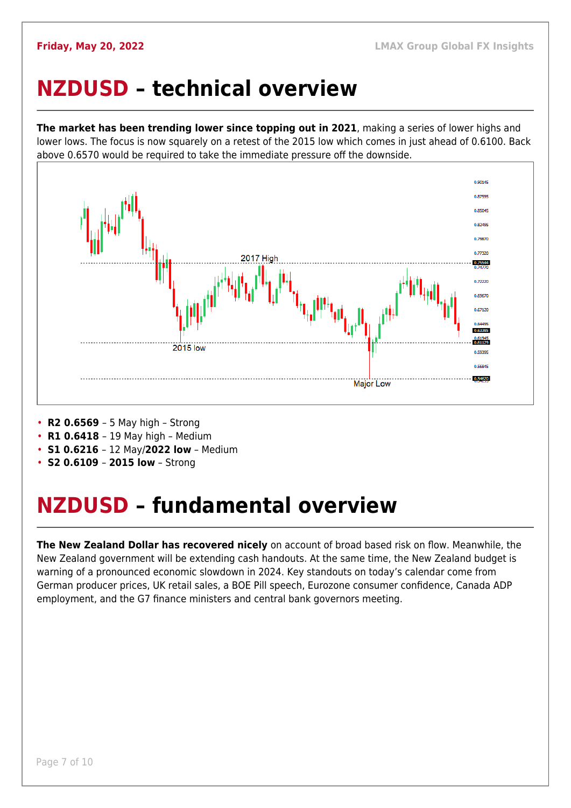### <span id="page-6-0"></span>**NZDUSD – technical overview**

**The market has been trending lower since topping out in 2021**, making a series of lower highs and lower lows. The focus is now squarely on a retest of the 2015 low which comes in just ahead of 0.6100. Back above 0.6570 would be required to take the immediate pressure off the downside.



- **R2 0.6569**  5 May high Strong
- **R1 0.6418**  19 May high Medium
- **S1 0.6216**  12 May/**2022 low** Medium
- **S2 0.6109 2015 low** Strong

## <span id="page-6-1"></span>**NZDUSD – fundamental overview**

**The New Zealand Dollar has recovered nicely** on account of broad based risk on flow. Meanwhile, the New Zealand government will be extending cash handouts. At the same time, the New Zealand budget is warning of a pronounced economic slowdown in 2024. Key standouts on today's calendar come from German producer prices, UK retail sales, a BOE Pill speech, Eurozone consumer confidence, Canada ADP employment, and the G7 finance ministers and central bank governors meeting.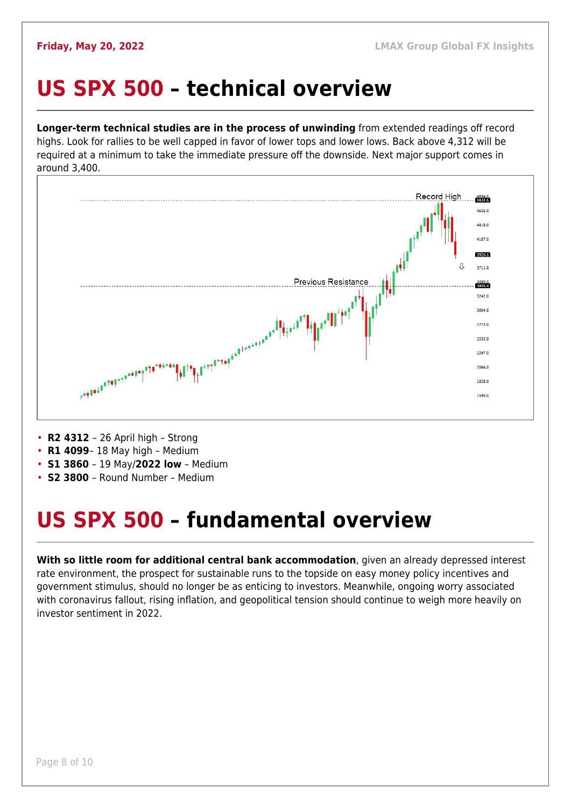### <span id="page-7-0"></span>**US SPX 500 – technical overview**

**Longer-term technical studies are in the process of unwinding** from extended readings off record highs. Look for rallies to be well capped in favor of lower tops and lower lows. Back above 4,312 will be required at a minimum to take the immediate pressure off the downside. Next major support comes in around 3,400.



- **R2 4312**  26 April high Strong
- **R1 4099** 18 May high Medium
- **S1 3860**  19 May/**2022 low** Medium
- **S2 3800**  Round Number Medium

## <span id="page-7-1"></span>**US SPX 500 – fundamental overview**

**With so little room for additional central bank accommodation**, given an already depressed interest rate environment, the prospect for sustainable runs to the topside on easy money policy incentives and government stimulus, should no longer be as enticing to investors. Meanwhile, ongoing worry associated with coronavirus fallout, rising inflation, and geopolitical tension should continue to weigh more heavily on investor sentiment in 2022.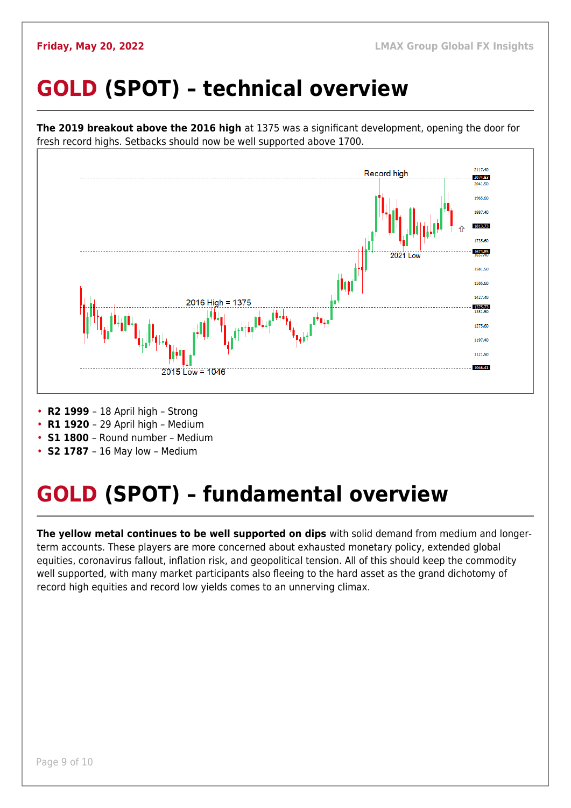## <span id="page-8-0"></span>**GOLD (SPOT) – technical overview**



- **R1 1920**  29 April high Medium
- **S1 1800**  Round number Medium
- **S2 1787**  16 May low Medium

## <span id="page-8-1"></span>**GOLD (SPOT) – fundamental overview**

**The yellow metal continues to be well supported on dips** with solid demand from medium and longerterm accounts. These players are more concerned about exhausted monetary policy, extended global equities, coronavirus fallout, inflation risk, and geopolitical tension. All of this should keep the commodity well supported, with many market participants also fleeing to the hard asset as the grand dichotomy of record high equities and record low yields comes to an unnerving climax.